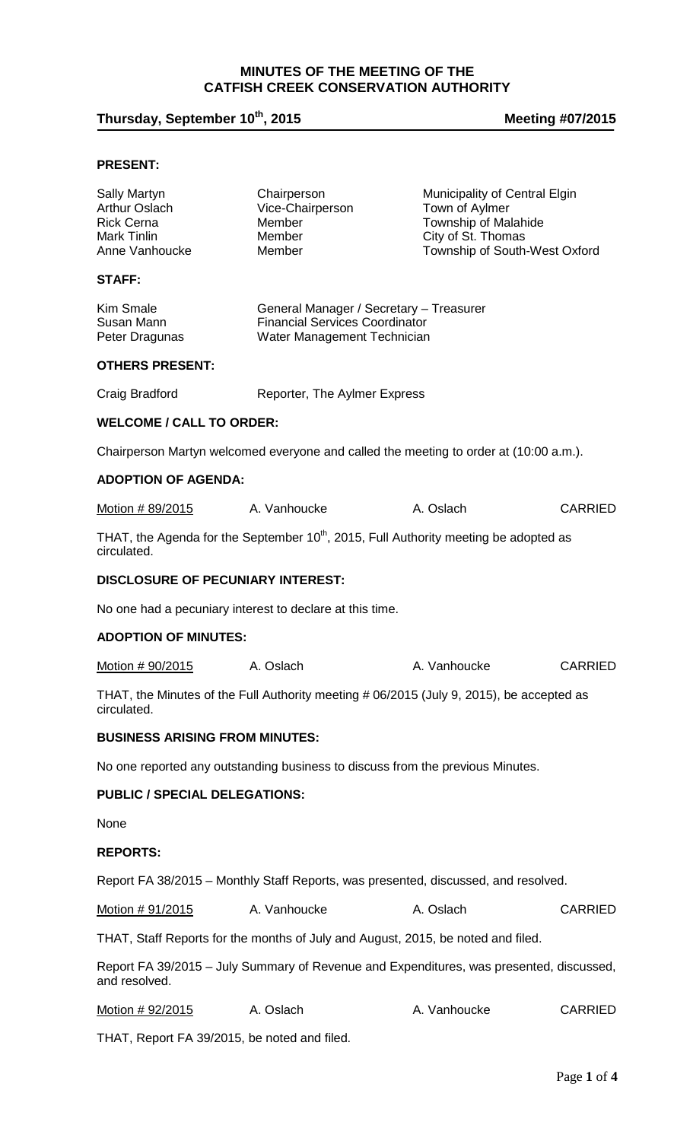## **MINUTES OF THE MEETING OF THE CATFISH CREEK CONSERVATION AUTHORITY**

# **Thursday, September 10th, 2015 Meeting #07/2015**

### **PRESENT:**

| Sally Martyn<br>Arthur Oslach<br><b>Rick Cerna</b><br>Mark Tinlin<br>Anne Vanhoucke                             | Chairperson<br>Vice-Chairperson<br>Member<br>Member<br>Member                                                   | Municipality of Central Elgin<br>Town of Aylmer<br>Township of Malahide<br>City of St. Thomas<br>Township of South-West Oxford |                |  |  |
|-----------------------------------------------------------------------------------------------------------------|-----------------------------------------------------------------------------------------------------------------|--------------------------------------------------------------------------------------------------------------------------------|----------------|--|--|
| <b>STAFF:</b>                                                                                                   |                                                                                                                 |                                                                                                                                |                |  |  |
| Kim Smale<br>Susan Mann<br>Peter Dragunas                                                                       | General Manager / Secretary - Treasurer<br><b>Financial Services Coordinator</b><br>Water Management Technician |                                                                                                                                |                |  |  |
| <b>OTHERS PRESENT:</b>                                                                                          |                                                                                                                 |                                                                                                                                |                |  |  |
| Craig Bradford                                                                                                  | Reporter, The Aylmer Express                                                                                    |                                                                                                                                |                |  |  |
| <b>WELCOME / CALL TO ORDER:</b>                                                                                 |                                                                                                                 |                                                                                                                                |                |  |  |
| Chairperson Martyn welcomed everyone and called the meeting to order at (10:00 a.m.).                           |                                                                                                                 |                                                                                                                                |                |  |  |
| <b>ADOPTION OF AGENDA:</b>                                                                                      |                                                                                                                 |                                                                                                                                |                |  |  |
| Motion # 89/2015                                                                                                | A. Vanhoucke                                                                                                    | A. Oslach                                                                                                                      | <b>CARRIED</b> |  |  |
| THAT, the Agenda for the September 10 <sup>th</sup> , 2015, Full Authority meeting be adopted as<br>circulated. |                                                                                                                 |                                                                                                                                |                |  |  |
| DISCLOSURE OF PECUNIARY INTEREST:                                                                               |                                                                                                                 |                                                                                                                                |                |  |  |
| No one had a pecuniary interest to declare at this time.                                                        |                                                                                                                 |                                                                                                                                |                |  |  |
| <b>ADOPTION OF MINUTES:</b>                                                                                     |                                                                                                                 |                                                                                                                                |                |  |  |
| Motion # 90/2015                                                                                                | A. Oslach                                                                                                       | A. Vanhoucke                                                                                                                   | <b>CARRIED</b> |  |  |
| THAT, the Minutes of the Full Authority meeting # 06/2015 (July 9, 2015), be accepted as<br>circulated.         |                                                                                                                 |                                                                                                                                |                |  |  |
| <b>BUSINESS ARISING FROM MINUTES:</b>                                                                           |                                                                                                                 |                                                                                                                                |                |  |  |
| No one reported any outstanding business to discuss from the previous Minutes.                                  |                                                                                                                 |                                                                                                                                |                |  |  |
| <b>PUBLIC / SPECIAL DELEGATIONS:</b>                                                                            |                                                                                                                 |                                                                                                                                |                |  |  |
| None                                                                                                            |                                                                                                                 |                                                                                                                                |                |  |  |
| <b>REPORTS:</b>                                                                                                 |                                                                                                                 |                                                                                                                                |                |  |  |
| Report FA 38/2015 – Monthly Staff Reports, was presented, discussed, and resolved.                              |                                                                                                                 |                                                                                                                                |                |  |  |
| Motion # 91/2015                                                                                                | A. Vanhoucke                                                                                                    | A. Oslach                                                                                                                      | <b>CARRIED</b> |  |  |
| THAT, Staff Reports for the months of July and August, 2015, be noted and filed.                                |                                                                                                                 |                                                                                                                                |                |  |  |
| Report FA 39/2015 - July Summary of Revenue and Expenditures, was presented, discussed,<br>and resolved.        |                                                                                                                 |                                                                                                                                |                |  |  |
| Motion # 92/2015                                                                                                | A. Oslach                                                                                                       | A. Vanhoucke                                                                                                                   | <b>CARRIED</b> |  |  |

THAT, Report FA 39/2015, be noted and filed.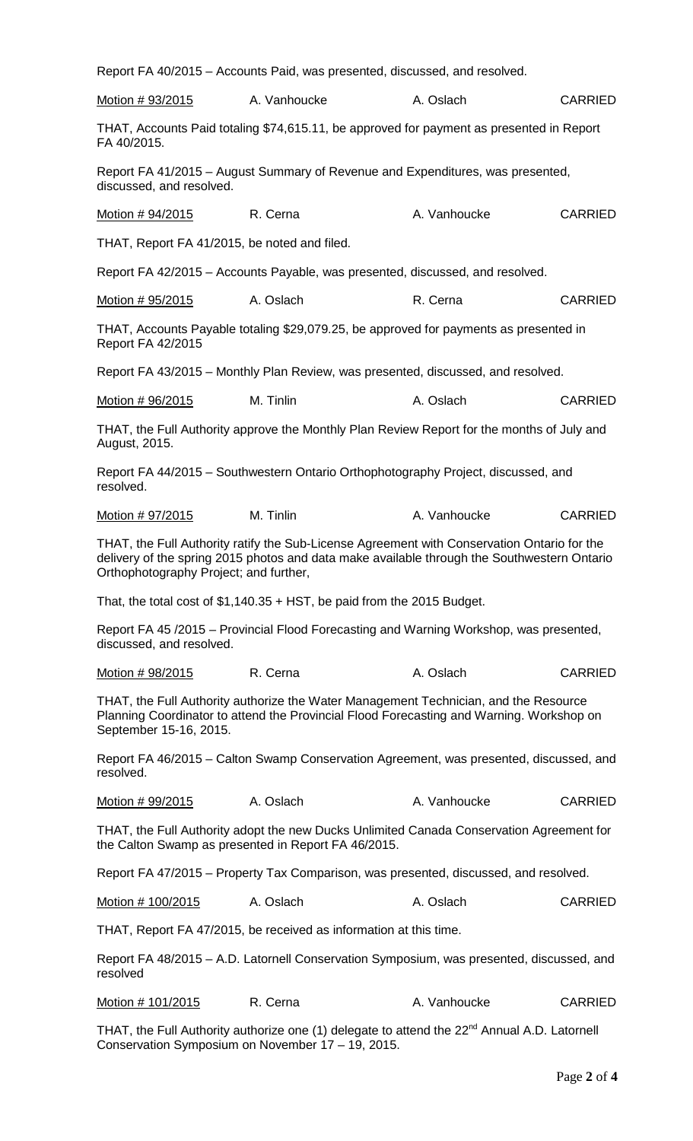| Report FA 40/2015 - Accounts Paid, was presented, discussed, and resolved.                                                                                                                                                           |                                                                                        |              |                |  |  |
|--------------------------------------------------------------------------------------------------------------------------------------------------------------------------------------------------------------------------------------|----------------------------------------------------------------------------------------|--------------|----------------|--|--|
| Motion # 93/2015                                                                                                                                                                                                                     | A. Vanhoucke                                                                           | A. Oslach    | <b>CARRIED</b> |  |  |
| THAT, Accounts Paid totaling \$74,615.11, be approved for payment as presented in Report<br>FA 40/2015.                                                                                                                              |                                                                                        |              |                |  |  |
| Report FA 41/2015 - August Summary of Revenue and Expenditures, was presented,<br>discussed, and resolved.                                                                                                                           |                                                                                        |              |                |  |  |
| Motion # 94/2015                                                                                                                                                                                                                     | R. Cerna                                                                               | A. Vanhoucke | <b>CARRIED</b> |  |  |
| THAT, Report FA 41/2015, be noted and filed.                                                                                                                                                                                         |                                                                                        |              |                |  |  |
| Report FA 42/2015 - Accounts Payable, was presented, discussed, and resolved.                                                                                                                                                        |                                                                                        |              |                |  |  |
| Motion # 95/2015                                                                                                                                                                                                                     | A. Oslach                                                                              | R. Cerna     | <b>CARRIED</b> |  |  |
| <b>Report FA 42/2015</b>                                                                                                                                                                                                             | THAT, Accounts Payable totaling \$29,079.25, be approved for payments as presented in  |              |                |  |  |
| Report FA 43/2015 - Monthly Plan Review, was presented, discussed, and resolved.                                                                                                                                                     |                                                                                        |              |                |  |  |
| Motion # 96/2015                                                                                                                                                                                                                     | M. Tinlin                                                                              | A. Oslach    | <b>CARRIED</b> |  |  |
| THAT, the Full Authority approve the Monthly Plan Review Report for the months of July and<br>August, 2015.                                                                                                                          |                                                                                        |              |                |  |  |
| Report FA 44/2015 - Southwestern Ontario Orthophotography Project, discussed, and<br>resolved.                                                                                                                                       |                                                                                        |              |                |  |  |
| Motion # 97/2015                                                                                                                                                                                                                     | M. Tinlin                                                                              | A. Vanhoucke | <b>CARRIED</b> |  |  |
| THAT, the Full Authority ratify the Sub-License Agreement with Conservation Ontario for the<br>delivery of the spring 2015 photos and data make available through the Southwestern Ontario<br>Orthophotography Project; and further, |                                                                                        |              |                |  |  |
| That, the total cost of $$1,140.35 + HST$ , be paid from the 2015 Budget.                                                                                                                                                            |                                                                                        |              |                |  |  |
| Report FA 45 /2015 – Provincial Flood Forecasting and Warning Workshop, was presented,<br>discussed, and resolved.                                                                                                                   |                                                                                        |              |                |  |  |
| <u>Motion # 98/2015</u>                                                                                                                                                                                                              | R. Cerna                                                                               | A. Oslach    | <b>CARRIED</b> |  |  |
| THAT, the Full Authority authorize the Water Management Technician, and the Resource<br>Planning Coordinator to attend the Provincial Flood Forecasting and Warning. Workshop on<br>September 15-16, 2015.                           |                                                                                        |              |                |  |  |
| resolved.                                                                                                                                                                                                                            | Report FA 46/2015 – Calton Swamp Conservation Agreement, was presented, discussed, and |              |                |  |  |
| <u>Motion # 99/2015</u>                                                                                                                                                                                                              | A. Oslach                                                                              | A. Vanhoucke | <b>CARRIED</b> |  |  |
| THAT, the Full Authority adopt the new Ducks Unlimited Canada Conservation Agreement for<br>the Calton Swamp as presented in Report FA 46/2015.                                                                                      |                                                                                        |              |                |  |  |
| Report FA 47/2015 – Property Tax Comparison, was presented, discussed, and resolved.                                                                                                                                                 |                                                                                        |              |                |  |  |
| Motion # 100/2015                                                                                                                                                                                                                    | A. Oslach                                                                              | A. Oslach    | <b>CARRIED</b> |  |  |
| THAT, Report FA 47/2015, be received as information at this time.                                                                                                                                                                    |                                                                                        |              |                |  |  |
| Report FA 48/2015 - A.D. Latornell Conservation Symposium, was presented, discussed, and<br>resolved                                                                                                                                 |                                                                                        |              |                |  |  |
| Motion # 101/2015                                                                                                                                                                                                                    | R. Cerna                                                                               | A. Vanhoucke | <b>CARRIED</b> |  |  |
| THAT, the Full Authority authorize one (1) delegate to attend the 22 <sup>nd</sup> Annual A.D. Latornell<br>Conservation Symposium on November 17 - 19, 2015.                                                                        |                                                                                        |              |                |  |  |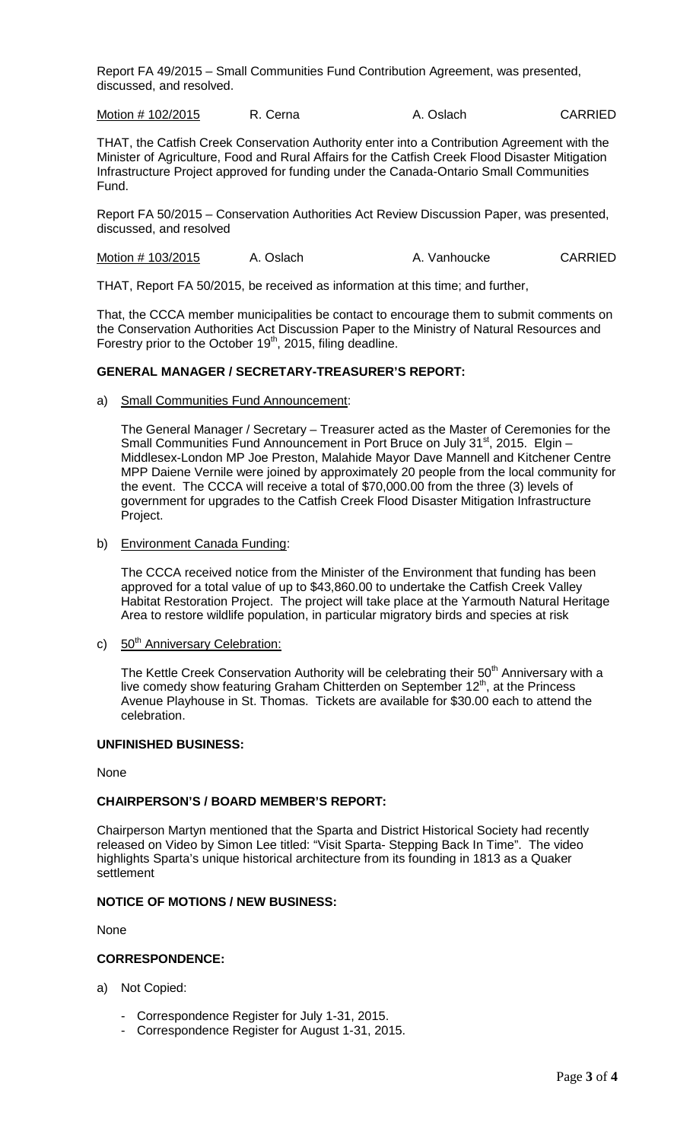Report FA 49/2015 – Small Communities Fund Contribution Agreement, was presented, discussed, and resolved.

Motion # 102/2015 R. Cerna A. Oslach CARRIED

THAT, the Catfish Creek Conservation Authority enter into a Contribution Agreement with the Minister of Agriculture, Food and Rural Affairs for the Catfish Creek Flood Disaster Mitigation Infrastructure Project approved for funding under the Canada-Ontario Small Communities Fund.

Report FA 50/2015 – Conservation Authorities Act Review Discussion Paper, was presented, discussed, and resolved

Motion # 103/2015 A. Oslach A. Vanhoucke CARRIED

THAT, Report FA 50/2015, be received as information at this time; and further,

That, the CCCA member municipalities be contact to encourage them to submit comments on the Conservation Authorities Act Discussion Paper to the Ministry of Natural Resources and Forestry prior to the October 19<sup>th</sup>, 2015, filing deadline.

#### **GENERAL MANAGER / SECRETARY-TREASURER'S REPORT:**

a) Small Communities Fund Announcement:

The General Manager / Secretary – Treasurer acted as the Master of Ceremonies for the Small Communities Fund Announcement in Port Bruce on July 31<sup>st</sup>, 2015. Elgin -Middlesex-London MP Joe Preston, Malahide Mayor Dave Mannell and Kitchener Centre MPP Daiene Vernile were joined by approximately 20 people from the local community for the event. The CCCA will receive a total of \$70,000.00 from the three (3) levels of government for upgrades to the Catfish Creek Flood Disaster Mitigation Infrastructure Project.

b) Environment Canada Funding:

The CCCA received notice from the Minister of the Environment that funding has been approved for a total value of up to \$43,860.00 to undertake the Catfish Creek Valley Habitat Restoration Project. The project will take place at the Yarmouth Natural Heritage Area to restore wildlife population, in particular migratory birds and species at risk

c) 50<sup>th</sup> Anniversary Celebration:

The Kettle Creek Conservation Authority will be celebrating their 50<sup>th</sup> Anniversary with a live comedy show featuring Graham Chitterden on September 12<sup>th</sup>, at the Princess Avenue Playhouse in St. Thomas. Tickets are available for \$30.00 each to attend the celebration.

#### **UNFINISHED BUSINESS:**

None

#### **CHAIRPERSON'S / BOARD MEMBER'S REPORT:**

Chairperson Martyn mentioned that the Sparta and District Historical Society had recently released on Video by Simon Lee titled: "Visit Sparta- Stepping Back In Time". The video highlights Sparta's unique historical architecture from its founding in 1813 as a Quaker settlement

#### **NOTICE OF MOTIONS / NEW BUSINESS:**

None

#### **CORRESPONDENCE:**

- a) Not Copied:
	- Correspondence Register for July 1-31, 2015.
	- Correspondence Register for August 1-31, 2015.